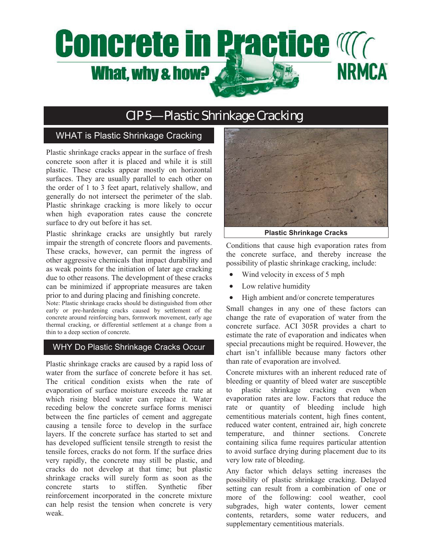# **Concrete in Practice Magnetic NRMCA** What, why & how?

# CIP 5—Plastic Shrinkage Cracking

# WHAT is Plastic Shrinkage Cracking

Plastic shrinkage cracks appear in the surface of fresh concrete soon after it is placed and while it is still plastic. These cracks appear mostly on horizontal surfaces. They are usually parallel to each other on the order of 1 to 3 feet apart, relatively shallow, and generally do not intersect the perimeter of the slab. Plastic shrinkage cracking is more likely to occur when high evaporation rates cause the concrete surface to dry out before it has set.

Plastic shrinkage cracks are unsightly but rarely impair the strength of concrete floors and pavements. These cracks, however, can permit the ingress of other aggressive chemicals that impact durability and as weak points for the initiation of later age cracking due to other reasons. The development of these cracks can be minimized if appropriate measures are taken prior to and during placing and finishing concrete.

Note: Plastic shrinkage cracks should be distinguished from other early or pre-hardening cracks caused by settlement of the concrete around reinforcing bars, formwork movement, early age thermal cracking, or differential settlement at a change from a thin to a deep section of concrete.

## WHY Do Plastic Shrinkage Cracks Occur

Plastic shrinkage cracks are caused by a rapid loss of water from the surface of concrete before it has set. The critical condition exists when the rate of evaporation of surface moisture exceeds the rate at which rising bleed water can replace it. Water receding below the concrete surface forms menisci between the fine particles of cement and aggregate causing a tensile force to develop in the surface layers. If the concrete surface has started to set and has developed sufficient tensile strength to resist the tensile forces, cracks do not form. If the surface dries very rapidly, the concrete may still be plastic, and cracks do not develop at that time; but plastic shrinkage cracks will surely form as soon as the concrete starts to stiffen. Synthetic fiber reinforcement incorporated in the concrete mixture can help resist the tension when concrete is very weak.



**Plastic Shrinkage Cracks** 

Conditions that cause high evaporation rates from the concrete surface, and thereby increase the possibility of plastic shrinkage cracking, include:

- Wind velocity in excess of 5 mph
- Low relative humidity
- High ambient and/or concrete temperatures

Small changes in any one of these factors can change the rate of evaporation of water from the concrete surface. ACI 305R provides a chart to estimate the rate of evaporation and indicates when special precautions might be required. However, the chart isn't infallible because many factors other than rate of evaporation are involved.

Concrete mixtures with an inherent reduced rate of bleeding or quantity of bleed water are susceptible to plastic shrinkage cracking even when evaporation rates are low. Factors that reduce the rate or quantity of bleeding include high cementitious materials content, high fines content, reduced water content, entrained air, high concrete temperature, and thinner sections. Concrete containing silica fume requires particular attention to avoid surface drying during placement due to its very low rate of bleeding.

Any factor which delays setting increases the possibility of plastic shrinkage cracking. Delayed setting can result from a combination of one or more of the following: cool weather, cool subgrades, high water contents, lower cement contents, retarders, some water reducers, and supplementary cementitious materials.